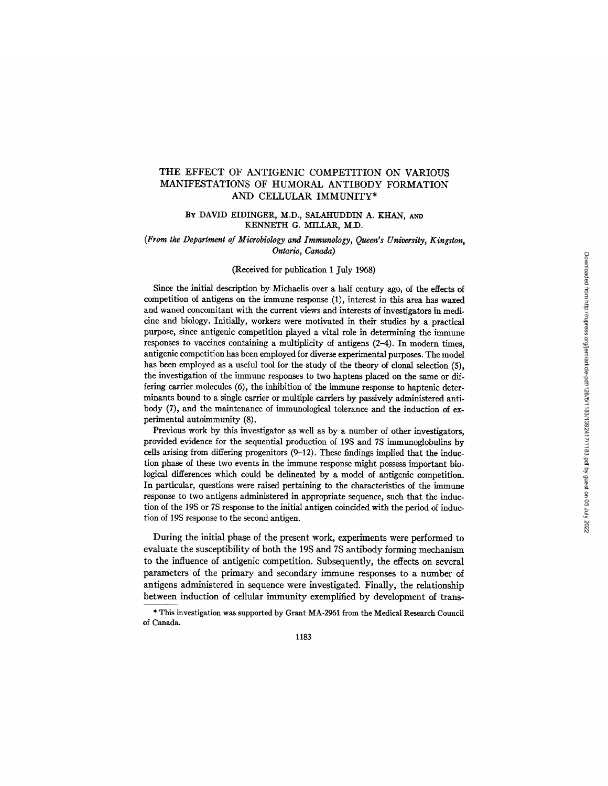# THE EFFECT OF ANTIGENIC COMPETITION ON VARIOUS MANIFESTATIONS OF HUMORAL ANTIBODY FORMATION AND CELLULAR IMMUNITY\*

## BY DAVID EIDINGER, M.D., SALAHUDDIN A. KHAN, AND KENNETH G. *MILLAR, M.D.*

## *(From the Department of Microbiology and Immunology, Queen's University, Kingston, Ontario, Canada)*

### (Received for publication 1 July 1968)

Since the initial description by Michaelis over a half century ago, of the effects of competition of antigens on the immune response (1), interest in this area has waxed and waned concomitant with the current views and interests of investigators in medicine and biology. Initially, workers were motivated in their studies by a practical purpose, since antigenic competition played a vital role in determining the immune responses to vaccines containing a multiplicity of antigens  $(2-4)$ . In modern times, antigenic competition has been employed for diverse experimental purposes. The model has been employed as a useful tool for the study of the theory of donal selection (5), the investigation of the immune responses to two haptens placed on the same or differing carrier molecules (6), the inhibition of the immune response to haptenic determinants bound to a single carrier or multiple carriers by passively administered antibody (7), and the maintenance of immunological tolerance and the induction of experimental autoimmunity (8).

Previous work by this investigator as well as by a number of other investigators, provided evidence for the sequential production of 19S and 7S immunoglobulins by cells arising from differing progenitors  $(9-12)$ . These findings implied that the induction phase of these two events in the immune response might possess important biological differences which could be delineated by a model of antigenic competition. In particular, questions were raised pertaining to the characteristics of the immune response to two antigens administered in appropriate sequence, such that the induction of the 19S or 7S response to the initial antigen coincided with the period of induction of 19S response to the second antigen.

During the initial phase of the present work, experiments were performed to evaluate the susceptibility of both the 19S and 7S antibody forming mechanism to the influence of antigenic competition. Subsequently, the effects on several parameters of the primary and secondary immune responses to a number of antigens administered in sequence were investigated. Finally, the relationship between induction of cellular immunity exemplified by development of trans-

\* This investigation was supported by Grant MA-2961 from the Medical Research Council of Canada.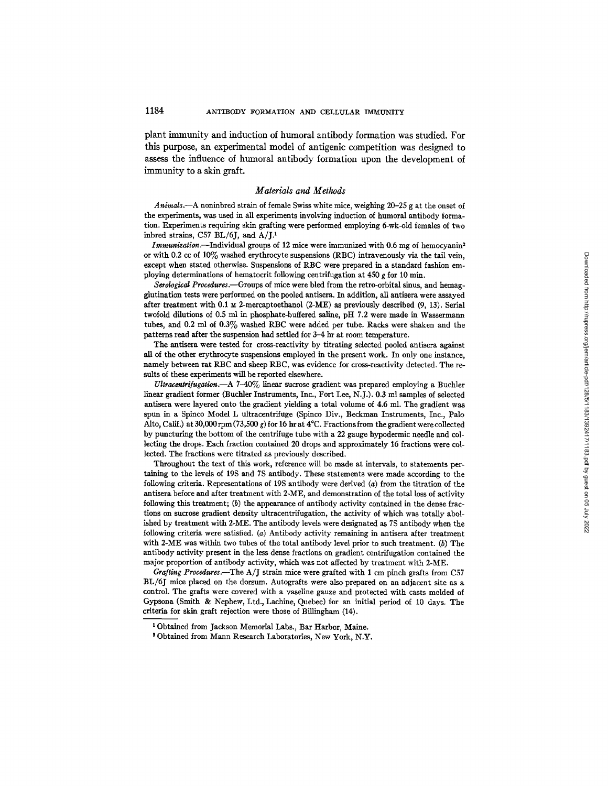plant immunity and induction d humoral antibody formation was studied. For this purpose, an experimental model of antigenic competition was designed to assess the influence of humoral antibody formation upon the development of immunity to a skin graft.

### *Materials and Methods*

*Animals.--A* noninbred strain of female Swiss white mice, weighing 20-25 g at the onset of the experiments, was used in all experiments involving induction of humoral antibody formation. Experiments requiring skin grafting were performed employing 6-wk-old females of two inbred strains, C57 BL/6J, and  $A/J$ .<sup>1</sup>

*Immunization.*--Individual groups of 12 mice were immunized with 0.6 mg of hemocyanin<sup>2</sup> or with 0.2 cc of 10% washed erythrocyte suspensions (RBC) intravenously via the tail vein, except when stated otherwise. Suspensions of RBC were prepared in a standard fashion employing determinations of hematocrit following centrifugation at  $450 g$  for 10 min.

*Serological Procedures.--Groups* of mice were bled from the retro-orbital sinus, and hemagglutinafion tests were performed on the pooled antisera. In addition, all antisera were assayed after treatment with  $0.1 \text{ m}$  2-mercaptoethanol (2-ME) as previously described (9, 13). Serial twofold dilutions of 0.5 ml in phosphate-buffered saline, pH 7.2 were made in Wassermann tubes, and 0.2 ml of 0.3% washed RBC were added per tube. Racks were shaken and the patterns read after the suspension had settled for 3-4 hr at room temperature.

The antisera were tested for cross-reactivity by fitrating selected pooled antisera against all of the other erythrocyte suspensions employed in the present work. In only one instance, namely between rat RBC and sheep RBC, was evidence for cross-reactivity detected. The results of these experiments will be reported elsewhere.

*Ultracentrifugation.*—A 7-40% linear sucrose gradient was prepared employing a Buchler linear gradient former (Buchler Instruments, Inc., Fort Lee, N.J.). 0.3 mi samples of selected antisera were layered onto the gradient yielding a total volume of 4.6 ml. The gradient was spun in a Spinco Model L ultracentrifuge (Spinco Div., Beckman Instruments, Inc., Palo Alto, Calif.) at 30,000 rpm (73,500 g) for 16 hr at  $4^{\circ}$ C. Fractions from the gradient were collected by puncturing the bottom of the centrifuge tube with a 22 gauge hypodermic needle and collecting the drops. Each fraction contained 20 drops and approximately 16 fractions were collected. The fractions were titrated as previously described.

Throughout the text of this work, reference will be made at intervals, to statements pertaining to the levels of 19S and 7S antibody. These statements were made according to the following criteria. Representations of 19S antibody were derived (a) from the titration of the antisera before and after treatment with 2-ME, and demonstration of the total loss of activity following this treatment;  $(b)$  the appearance of antibody activity contained in the dense fractions on sucrose gradient density ultracentrifugation, the activity of which was totally abolished by treatment with 2-ME. The antibody levels were designated as 7S antibody when the following criteria were satisfied. (a) Antibody activity remaining in antisera after treatment with 2-ME was within two tubes of the total antibody level prior to such treatment. (b) The antibody activity present in the less dense fractions on gradient centrifugation contained the major proportion of antibody activity, which was not affected by treatment with 2-ME.

*Grafting Procedures.--The* A/J strain mice were grafted with 1 cm pinch grafts from C57 BL/6J mice placed on the dorsum. Autografts were also prepared on an adjacent site as a control. The grafts were covered with a vaseline gauze and protected with casts molded of Gypsona (Smith & Nephew, Ltd., Laehine, Quebec) for an initial period of 10 days. The criteria for skin graft rejection were those of Billingham (14).

Downloaded from http://rupress.org/jem/article-pdf/128/5/1183/1392417/1183.pdf by guest on 05 July 2022

<sup>1</sup> Obtained from Jackson Memorial Labs., Bar Harbor, Maine.

Obtained from Mann Research Laboratories, New York, N.Y.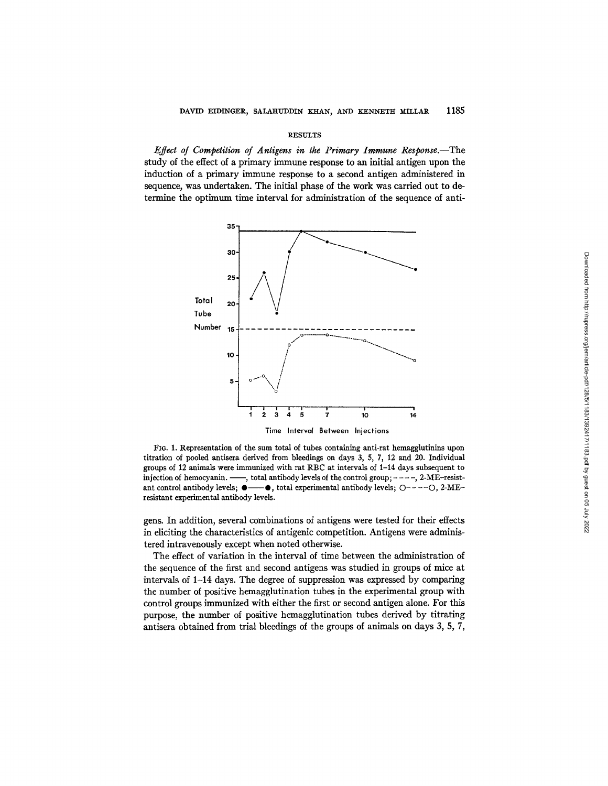#### **RESULTS**

*Effect of Competition of Antigens in the Primary Immune Response.*—The study of the effect of a primary immune response to an initial antigen upon the induction of a primary immune response to a second antigen administered in sequence, was undertaken. The initial phase of the work was carried out to determine the optimum time interval for administration of the sequence of anti-



FIG. 1. Representation of the sum total of tubes containing anti-rat hemagglutinins upon titration of pooled antisera derived from bleedings on days 3, 5, 7, 12 and 20. Individual groups of 12 animals were immunized with rat RBC at intervals of 1-14 days subsequent to injection of hemocyanin.  $\longrightarrow$ , total antibody levels of the control group;  $---$ , 2-ME-resistant control antibody levels;  $\bullet$  ---  $\bullet$ , total experimental antibody levels;  $O$ --- $O$ , 2-MEresistant experimental antibody levels.

gens. In addition, several combinations of antigens were tested for their effects in eliciting the characteristics of antigenic competition. Antigens were administered intravenously except when noted otherwise.

The effect of variation in the interval of time between the administration of the sequence of the first and second antigens was studied in groups of mice at intervals of 1-14 days. The degree of suppression was expressed by comparing the number of positive hemagglutination tubes in the experimental group with control groups immunized with either the first or second antigen alone. For this purpose, the number of positive hemagglutination tubes derived by titrating antisera obtained from trial bleedings of the groups of animals on days 3, 5, 7,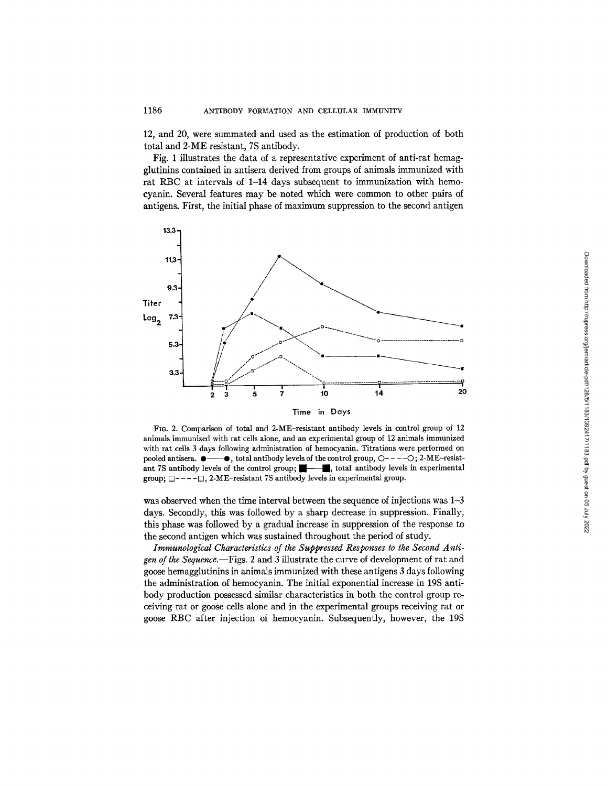12, and 20, were summated and used as the estimation of production of both total and 2-ME resistant, 7S antibody.

Fig. 1 illustrates the data of a representative experiment of anti-rat hemagglufinins contained in anfisera derived from groups of animals immunized with rat RBC at intervals of 1-14 days subsequent to immunization with hemocyanin. Several features may be noted which were common to other pairs of antigens. First, the initial phase of maximum suppression to the second antigen



FIO. 2. Comparison of total and 2-ME-resistant antibody levels in control group of 12 animals immunized with rat cells alone, and an experimental group of 12 animals immunized with rat cells 3 days following administration of hemocyanin. Titrations were performed on pooled antisera.  $\bullet \longrightarrow \bullet$ , total antibody levels of the control group,  $\bigcirc$  - - -  $\bigcirc$ ; 2-ME-resistant 7S antibody levels of the control group;  $\blacksquare$ , total antibody levels in experimental group;  $\Box$  - - -  $\Box$ , 2-ME-resistant 7S antibody levels in experimental group.

was observed when the time interval between the sequence of injections was 1-3 days. Secondly, this was followed by a sharp decrease in suppression. Finally, this phase was followed by a gradual increase in suppression of the response to the second antigen which was sustained throughout the period of study.

*Immunological Characteristics of the Suppressed Responses to the Second Antigen of the Sequence.--Figs.* 2 and 3 illustrate the curve of development of rat and goose hemagglutinins in animals immunized with these antigens 3 days following the administration of hemocyanin. The initial exponential increase in 19S antibody production possessed similar characteristics in both the control group receiving rat or goose cells alone and in the experimental groups receiving rat or goose RBC after injection of hemocyanin. Subsequently, however, the 19S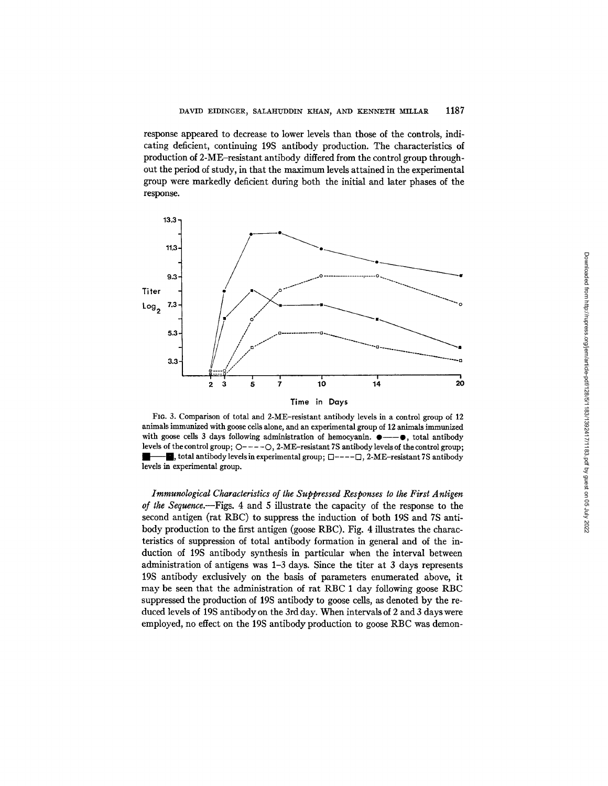response appeared to decrease to lower levels than those of the controls, indicating deficient, continuing 19S antibody production. The characteristics of production of 2-ME-resistant antibody differed from the control group throughout the period of study, in that the maximum levels attained in the experimental group were markedly deficient during both the initial and later phases of the response.



FIG. 3. Comparison of total and 2-ME-resistant antibody levels in a control group of 12 animals immunized with goose ceils alone, and an experimental group of 12 animals immunized with goose cells 3 days following administration of hemocyanin.  $\bullet$  --- $\bullet$ , total antibody levels of the control group;  $O---O$ , 2-ME-resistant 7S antibody levels of the control group; **m**, total antibody levels in experimental group;  $\Box$  ---- $\Box$ , 2-ME-resistant 7S antibody levels in experimental group.

*Immunological Characteristics of the Suppressed Responses to the First Antigen of the Sequeme.--Figs.* 4 and 5 illustrate the capacity of the response to the second antigen (rat RBC) to suppress the induction of both 19S and 7S antibody production to the first antigen (goose RBC). Fig. 4 illustrates the characteristics of suppression of total antibody formation in general and of the induction of 19S antibody synthesis in particular when the interval between administration of antigens was 1-3 days. Since the fiter at 3 days represents 19S antibody exclusively on the basis of parameters enumerated above, it may be seen that the administration of rat RBC 1 day following goose RBC suppressed the production of 19S antibody to goose cells, as denoted by the reduced levels of 19S antibody on the 3rd day. When intervals of 2 and 3 days were employed, no effect on the 19S antibody production to goose RBC was demon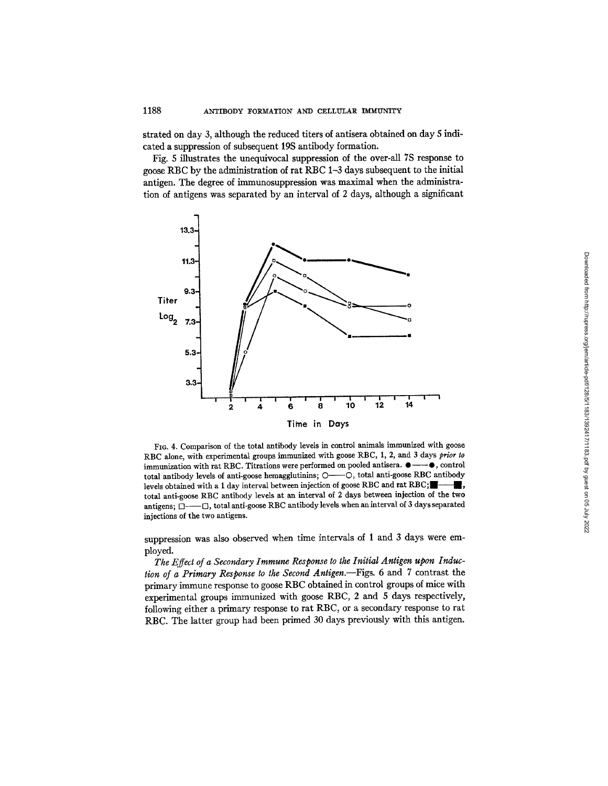strated on day 3, although the reduced titers of antisera obtained on day 5 indicated a suppression of subsequent 19S antibody formation.

Fig. 5 illustrates the unequivocal suppression of the over-aU 7S response to goose RBC by the administration of rat RBC 1-3 days subsequent to the initial antigen. The degree of immunosuppression was maximal when the administration of antigens was separated by an interval of 2 days, although a significant



FIG. 4. Comparison of the total antibody levels in control animals immunized with goose RBC alone, with experimental groups immunized with goose RBC, 1, 2, and 3 days *prior to* immunization with rat RBC. Titrations were performed on pooled antisera.  $\bullet$ —— $\bullet$ , control immunization with rat RBC. Titrations were performed on pooled antisera.  $\bullet$ total antibody levels of anti-goose hemagglutinins; O-O, total anti-goose RBC antibody levels obtained with a 1 day interval between injection of goose RBC and rat RBC; $\blacksquare$ total anti-goose RBC antibody levels at an interval of 2 days between injection of the two antigens;  $\square$   $\longrightarrow$   $\square$ , total anti-goose RBC antibody levels when an interval of 3 days separated injections of the two antigens.

suppression was also observed when time intervals of 1 and 3 days were employed.

*The Effect of a Secondary Immune Response to the Initial Antigen upon Induction of a Primary Response to the Second Antigen.--Figs.* 6 and 7 contrast the primary immune response to goose RBC obtained in control groups of mice with experimental groups immunized with goose RBC, 2 and 5 days respectively, following either a primary response to rat RBC, or a secondary response to rat RBC. The latter group had been primed 30 days previously with this antigen.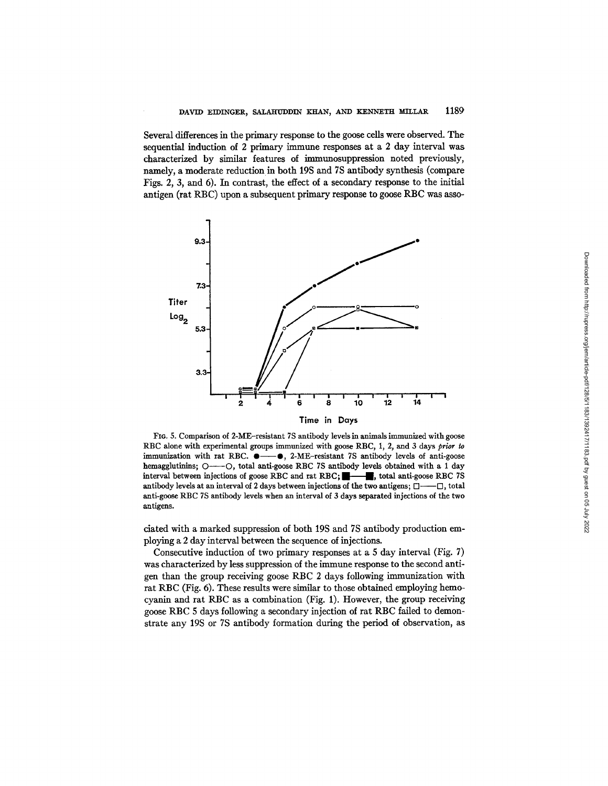Several differences in the primary response to the goose cells were observed. The sequential induction of 2 primary immune responses at a 2 day interval was characterized by similar features of immunosuppression noted previously, namely, a moderate reduction in both 19S and 7S antibody synthesis (compare Figs. 2, 3, and 6). In contrast, the effect of a secondary response to the initial antigen (rat RBC) upon a subsequent primary response to goose RBC was ass•-



FIG. 5. Comparison of 2-ME-resistant 7S antibody levels in animals immunized with goose RBC alone with experimental groups immunized with goose RBC, 1, 2, and 3 days *prior to*  immunization with rat RBC.  $\bullet$ — $\bullet$ , 2-ME-resistant 7S antibody levels of anti-goose hemagglutinins;  $O \rightarrow O$ , total anti-goose RBC 7S antibody levels obtained with a 1 day interval between injections of goose RBC and rat RBC;  $\blacksquare$ , total anti-goose RBC 7S antibody levels at an interval of 2 days between injections of the two antigens;  $\square$ — $\square$ , total anti-goose RBC 7S antibody levels when an interval of 3 days separated injections of the two antigens.

ciated with a marked suppression of both 19S and 7S antibody production employing a 2 day interval between the sequence of injections.

Consecutive induction of two primary responses at a 5 day interval (Fig. 7) was characterized by less suppression of the immune response to the second antigen than the group receiving goose RBC 2 days following immunization with rat RBC (Fig. 6). These results were similar to those obtained employing hemocyanin and rat RBC as a combination (Fig. 1). However, the group receiving goose RBC 5 days following a secondary injection of rat RBC failed to demonstrate any 19S or 7S antibody formation during the period of observation, as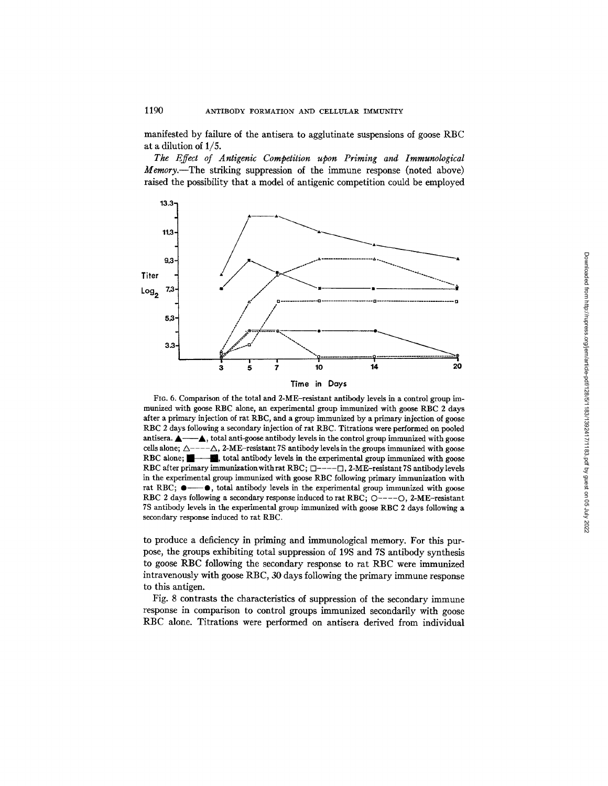manifested by failure of the antisera to agglutinate suspensions of goose RBC at a dilution of 1/5.

*The Effect of Antigenic Competition upon Priming and Immunological Memory.--The* striking suppression of the immune response (noted above) raised the possibility that a model of antigenic competition could be employed



FIG. 6. Comparison of the total and 2-ME-resistant antibody levels in a control group immunized with goose RBC alone, an experimental group immunized with goose RBC 2 days after a primary injection of rat RBC, and a group immunized by a primary injection of goose RBC 2 days following a secondary injection of rat RBC. Titrations were performed on pooled antisera.  $\triangle$   $\longrightarrow$   $\triangle$ , total anti-goose antibody levels in the control group immunized with goose cells alone;  $\Delta$ ---- $\Delta$ , 2-ME-resistant 7S antibody levels in the groups immunized with goose RBC alone;  $\blacksquare$ , total antibody levels in the experimental group immunized with goose RBC after primary immunization with rat RBC;  $\Box$ ---- $\Box$ , 2-ME-resistant 7S antibody levels in the experimental group immunized with goose RBC following primary immunization with rat RBC;  $\bullet$ — $\bullet$ , total antibody levels in the experimental group immunized with goose RBC 2 days following a secondary response induced to rat RBC;  $O---O$ , 2-ME-resistant 7S antibody levels in the experimental group immunized with goose RBC 2 days following a secondary response induced to rat RBC.

to produce a deficiency in priming and immunological memory. For this purpose, the groups exhibiting total suppression of 19S and 7S antibody synthesis to goose RBC following the secondary response to rat RBC were immunized intravenously with goose RBC, 30 days following the primary immune response to this antigen.

Fig. 8 contrasts the characteristics of suppression of the secondary immune response in comparison to control groups immunized secondarily with goose RBC alone. Titrations were performed on antisera derived from individual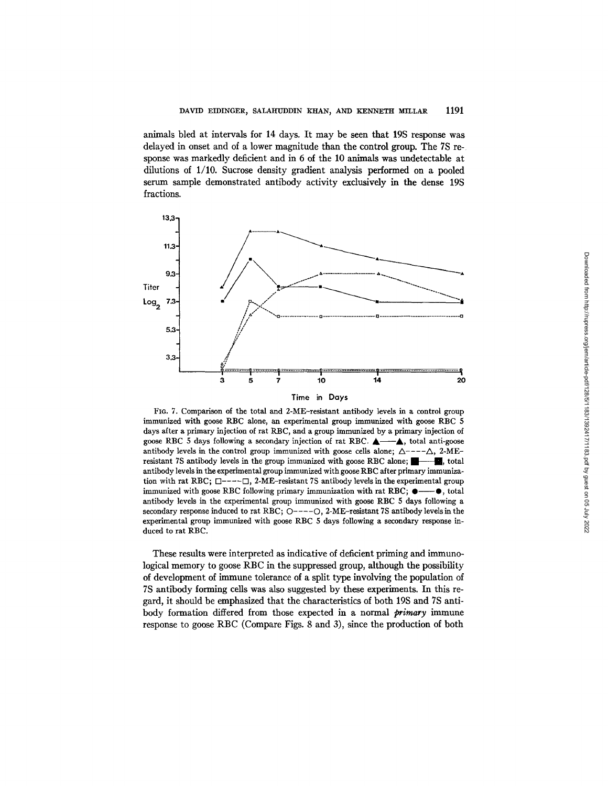animals bled at intervals for 14 days. It may be seen that 19S response was delayed in onset and of a lower magnitude than the control group. The 7S response was markedly deficient and in 6 of the 10 animals was undetectable at dilutions of 1/10. Sucrose density gradient analysis performed on a pooled serum sample demonstrated antibody activity exclusively in the dense 19S fractions.



FIG. 7. Comparison of the total and 2-ME-resistant antibody levels in a control group immunized with goose RBC alone, an experimental group immunized with goose RBC 5 days after a primary injection of rat RBC, and a group immunized by a primary injection of goose RBC 5 days following a secondary injection of rat RBC.  $\triangle$ — $\triangle$ , total anti-goose antibody levels in the control group immunized with goose cells alone;  $\Delta$ --- $\Delta$ , 2-MEresistant 7S antibody levels in the group immunized with goose RBC alone;  $\blacksquare$ , total antibody levels in the experimental group immunized with goose RBC after primary immunization with rat RBC;  $\square$ --- $\square$ , 2-ME-resistant 7S antibody levels in the experimental group immunized with goose RBC following primary immunization with rat RBC;  $\bullet$ — $\bullet$ , total antibody levels in the experimental group immunized with goose RBC 5 days following a secondary response induced to rat RBC;  $O---O$ , 2-ME-resistant 7S antibody levels in the experimental group immunized with goose RBC 5 days following a secondary response induced to rat RBC.

These results were interpreted as indicative of deficient priming and immunological memory to goose RBC in the suppressed group, although the possibility of development of immune tolerance of a split type involving the population of 7S antibody forming cells was also suggested by these experiments. In this regard, it should be emphasized that the characteristics of both 19S and 7S antibody formation differed from those expected in a normal *primary* immune response to goose RBC (Compare Figs. 8 and 3), since the production of both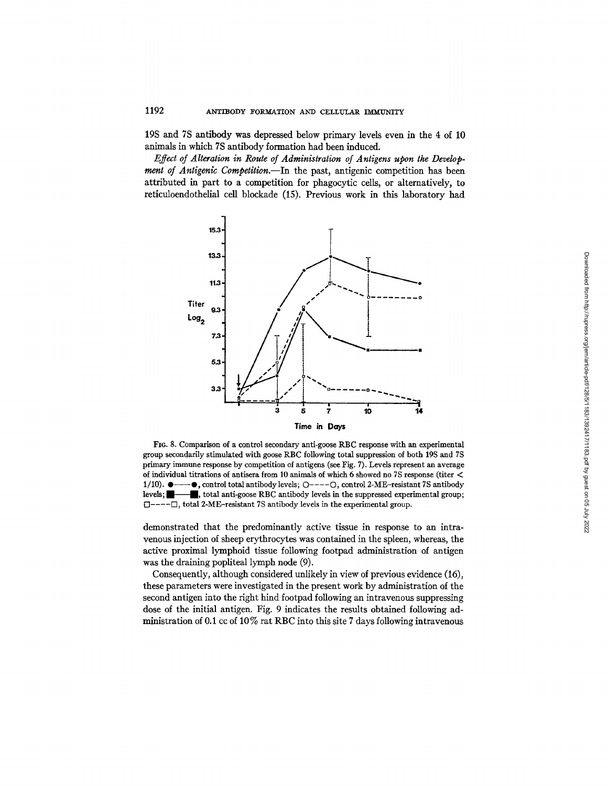19S and 7S antibody was depressed below primary levels even in the 4 of 10 animals in which 7S antibody formation had been induced.

*Effect of Alteration in Route of Administration of Antigens upon the Developrnent of Antigenic Competition.*—In the past, antigenic competition has been attributed in part to a competition for phagocytic cells, or alternatively, to reticuloendothelial cell blockade (15). Previous work in this laboratory had



FIG. 8. Comparison of a control secondary anti-goose RBC response with an experimental group secondarily stimulated with goose RBC following total suppression of both 19S and 7S primary immune response by competition of antigens (see Fig. 7). Levels represent an average of individual titrations of antisera from 10 animals of which 6 showed no 7S response (titer < 1/10).  $\bullet \rightarrow \bullet$ , control total antibody levels; O----O, control 2-ME-resistant 7S antibody levels;  $\blacksquare$ , total anti-goose RBC antibody levels in the suppressed experimental group;  $\Box$  ---- $\Box$ , total 2-ME-resistant 7S antibody levels in the experimental group.

demonstrated that the predominantly active tissue in response to an intravenous injection of sheep erythrocytes was contained in the spleen, whereas, the active proximal lymphoid tissue following footpad administration of antigen was the draining popliteal lymph node (9).

Consequently, although considered unlikely in view of previous evidence (16), these parameters were investigated in the present work by administration of the second antigen into the right hind footpad following an intravenous suppressing dose of the initial antigen. Fig. 9 indicates the results obtained following administration of 0.1 cc of 10% rat RBC into this site 7 days following intravenous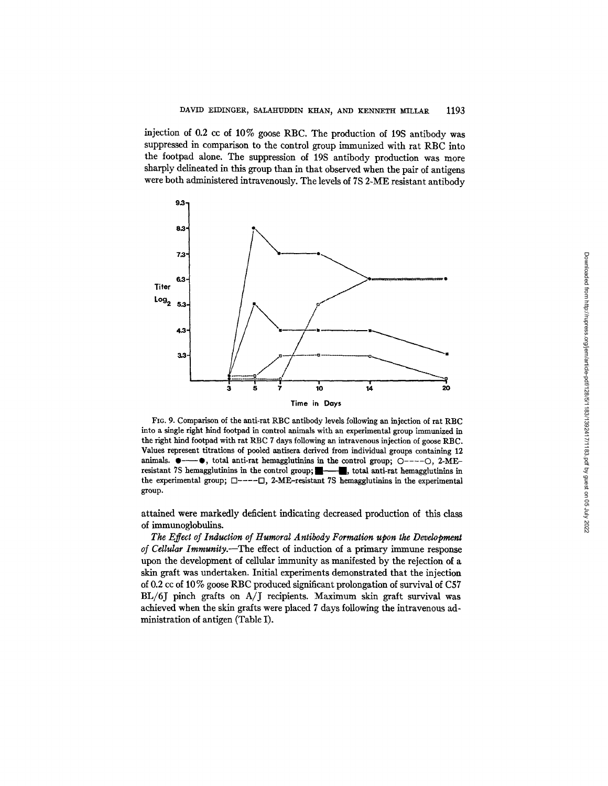injection of 0.2 cc of 10% goose RBC. The production of 19S antibody was suppressed in comparison to the control group immunized with rat RBC into the footpad alone. The suppression of 19S antibody production was more sharply delineated in this group than in that observed when the pair of antigens were both administered intravenously. The levels of 7S 2-ME resistant antibody



FIG. 9. Comparison of the anti-rat RBC antibody levels following an injection of rat RBC into a single right hind footpad in control animals with an experimental group immunized in the right hind footpad with rat RBC 7 days following an intravenous injection of goose RBC. Values represent titrations of pooled antisera derived from individual groups containing 12 animals.  $\bullet$  -  $\bullet$ , total anti-rat hemagglutinins in the control group; O----O, 2-MEresistant 7S hemagglutinins in the control group;  $\blacksquare$ — $\blacksquare$ , total anti-rat hemagglutinins in the experimental group;  $\Box$ ---- $\Box$ , 2-ME-resistant 7S hemagglutinins in the experimental group.

attained were markedly deficient indicating decreased production of this dass of immunoglobulins.

*The Effect of Induction of Humoral Antibody Formation upon the Development of Cellular Immunity.--The* effect of induction of a primary immune response upon the development of cellular immunity as manifested by the rejection of a skin graft was undertaken. Initial experiments demonstrated that the injection of 0.2 cc of 10% goose RBC produced significant prolongation of survival of C57  $BL/6$ J pinch grafts on  $A/J$  recipients. Maximum skin graft survival was achieved when the skin grafts were placed 7 days following the intravenous administration of antigen (Table I).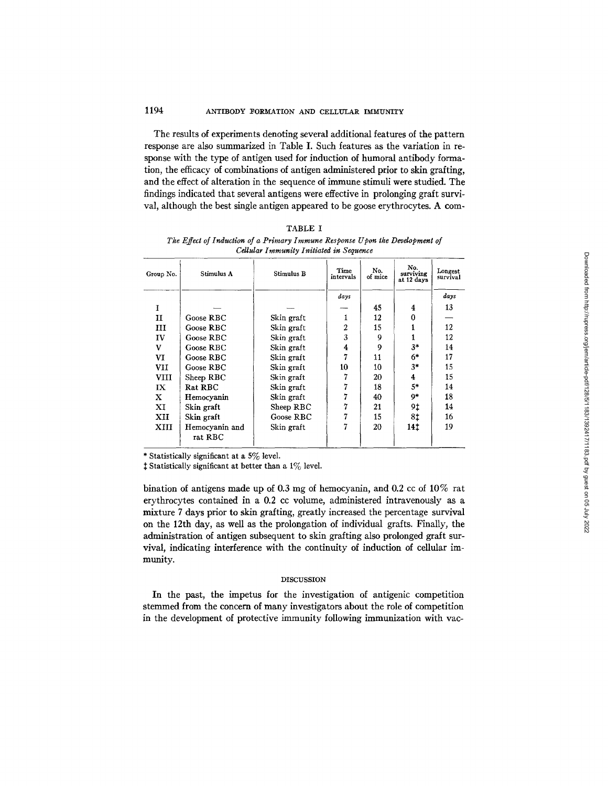## 1194 ANTIBODY FORMATION AND CELLULAR IMMUNITY

The results of experiments denoting several additional features of the pattern response are also summarized in Table I. Such features as the variation in response with the type of antigen used for induction of humoral antibody formation, the efficacy of combinations of antigen administered prior to skin grafting, and the effect of alteration in the sequence of immune stimuli were studied. The findings indicated that several antigens were effective in prolonging graft survival, although the best single antigen appeared to be goose erythrocytes. A com-

| Group No.    | Stimulus A                | Stimulus B | Time<br>intervals | No.<br>of mice | No.<br>surviving<br>at 12 days | Longest<br>survival |
|--------------|---------------------------|------------|-------------------|----------------|--------------------------------|---------------------|
|              |                           |            | days              |                |                                | days                |
| I            |                           |            |                   | 45             | 4                              | 13                  |
| п            | Goose RBC                 | Skin graft |                   | 12             | 0                              |                     |
| ш            | Goose RBC                 | Skin graft | $\boldsymbol{2}$  | 15             |                                | 12                  |
| IV           | Goose RBC                 | Skin graft | 3                 | 9              |                                | 12                  |
| V            | Goose RBC                 | Skin graft | 4                 | 9              | $3*$                           | 14                  |
| VI           | Goose RBC                 | Skin graft | 7                 | 11             | 6*                             | 17                  |
| VII          | Goose RBC                 | Skin graft | 10                | 10             | $3*$                           | 15                  |
| VIII         | Sheep RBC                 | Skin graft | 7                 | 20             | 4                              | 15                  |
| IX           | Rat RBC                   | Skin graft | 7                 | 18             | $5*$                           | 14                  |
| $\mathbf{X}$ | Hemocyanin                | Skin graft | 7                 | 40             | 0*                             | 18                  |
| ΧI           | Skin graft                | Sheep RBC  | 7                 | 21             | 9‡                             | 14                  |
| XII          | Skin graft                | Goose RBC  | 7                 | 15             | 8‡                             | 16                  |
| XIII         | Hemocyanin and<br>rat RBC | Skin graft | 7                 | 20             | 14t                            | 19                  |

TABLE I *The Effect of Induction of a Primary Immune Response Upon the Deodopment of Cellular Immunity Initiated in Sequence* 

\* Statistically significant at a 5% level.

 $\ddagger$  Statistically significant at better than a 1% level.

bination of antigens made up of 0.3 mg of hemocyanin, and 0.2 cc of 10% rat erythrocytes contained in a 0.2 cc volume, administered intravenously as a mixture 7 days prior to skin grafting, greatly increased the percentage survival on the 12th day, as well as the prolongation of individual grafts. Finally, the administration of antigen subsequent to skin grafting also prolonged graft survival, indicating interference with the continuity of induction of cellular immunity.

### DISCUSSION

In the past, the impetus for the investigation of antigenic competition stemmed from the concern of many investigators about the role of competition in the development of protective immunity following immunization with vac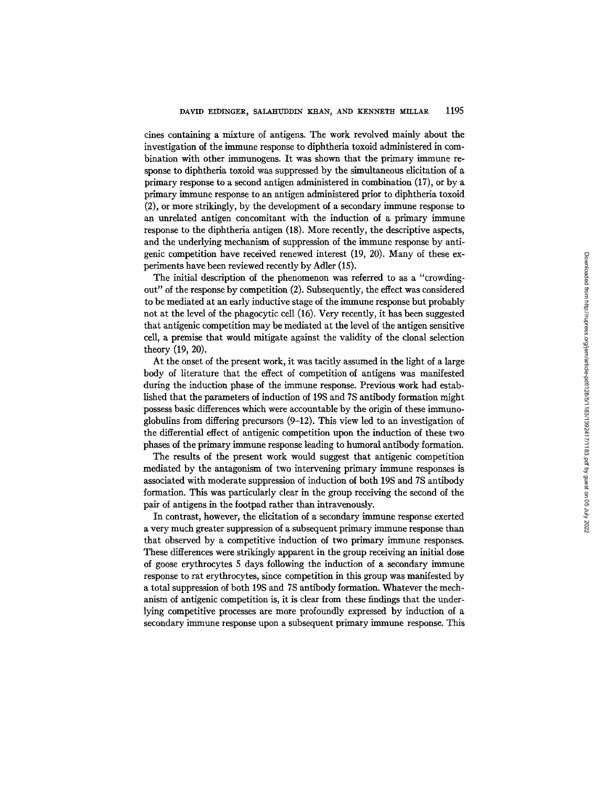cines containing a mixture of antigens. The work revolved mainly about the investigation of the immune response to diphtheria toxoid administered in combination with other immunogens. It was shown that the primary immune response to diphtheria toxoid was suppressed by the simultaneous elicitation of a primary response to a second antigen administered in combination (17), or by a primary immune response to an antigen administered prior to diphtheria toxoid (2), or more strikingly, by the development of a secondary immune response to an unrelated antigen concomitant with the induction of a primary immune response to the diphtheria antigen (18). More recently, the descriptive aspects, and the underlying mechanism of suppression of the immune response by antigenic competition have received renewed interest (19, 20). Many of these experiments have been reviewed recently by Adler (15).

The initial description of the phenomenon was referred to as a "crowdingout" of the response by competition (2). Subsequently, the effect was considered to be mediated at an early inductive stage of the immune response but probably not at the level of the phagocytic cell (16). Very recently, it has been suggested that antigenic competition may be mediated at the level of the antigen sensitive cell, a premise that would mitigate against the validity of the clonal selection theory (19, 20).

At the onset of the present work, it was tacitly assumed in the light of a large body of literature that the effect of competition of antigens was manifested during the induction phase of the immune response. Previous work had established that the parameters of induction of 19S and 7S antibody formation might possess basic differences which were accountable by the origin of these immunoglobulins from differing precursors (9-12). This view led to an investigation of the differential effect of antigenic competition upon the induction of these two phases of the primary immune response leading to humoral antibody formation.

The results of the present work would suggest that antigenic competition mediated by the antagonism of two intervening primary immune responses is associated with moderate suppression of induction of both 19S and 7S antibody formation. This was particularly clear in the group receiving the second of the pair of antigens in the footpad rather than intravenously.

In contrast, however, the elicitation of a secondary immune response exerted a very much greater suppression of a subsequent primary immune response than that observed by a competitive induction of two primary immune responses. These differences were strikingly apparent in the group receiving an initial dose of goose erythrocytes 5 days following the induction of a secondary immune response to rat erythrocytes, since competition in this group was manifested by a total suppression of both 19S and 7S antibody formation. Whatever the mechanism of antigenic competition is, it is clear from these findings that the underlying competitive processes are more profoundly expressed by induction of a secondary immune response upon a subsequent primary immune response. This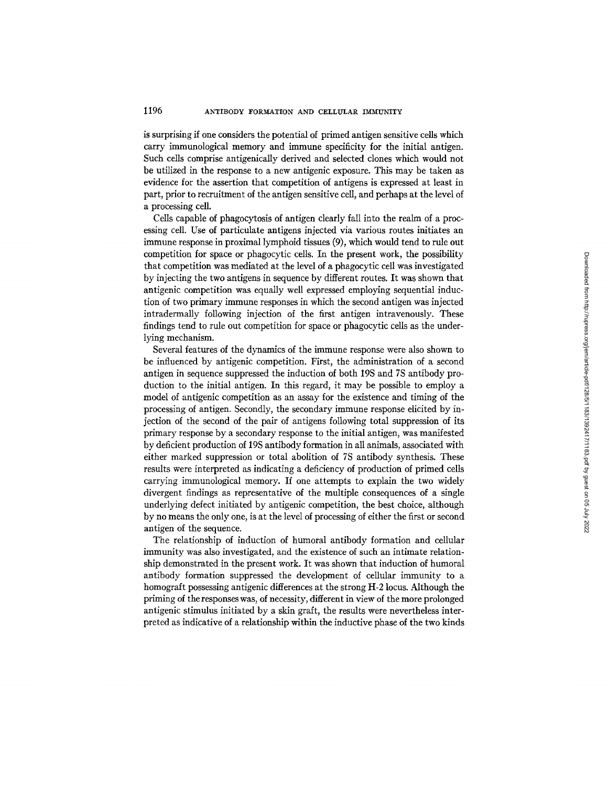is surprising if one considers the potential of primed antigen sensitive cells which carry immunological memory and immune specificity for the initial antigen. Such cells comprise antigenically derived and selected clones which would not be utilized in the response to a new antigenic exposure. This may be taken as evidence for the assertion that competition of antigens is expressed at least in part, prior to recruitment of the antigen sensitive cell, and perhaps at the level of a processing cell.

Cells capable of phagocytosis of antigen clearly fall into the realm of a processing cell. Use of particulate antigens injected via various routes initiates an immune response in proximal lymphoid tissues (9), which would tend to rule out competition for space or phagocytic cells. In the present work, the possibility that competition was mediated at the level of a phagocytic cell was investigated by injecting the two antigens in sequence by different routes. It was shown that antigenic competition was equally well expressed employing sequential induction of two primary immune responses in which the second antigen was injected intradermally following injection of the first antigen intravenously. These findings tend to rule out competition for space or phagocytic cells as the underlying mechanism.

Several features of the dynamics of the immune response were also shown to be influenced by antigenic competition. First, the administration of a second antigen in sequence suppressed the induction of both 19S and 7S antibody production to the initial antigen. In this regard, it may be possible to employ a model of antigenic competition as an assay for the existence and timing of the processing of antigen. Secondly, the secondary immune response elicited by injection of the second of the pair of antigens following total suppression of its primary response by a secondary response to the initial antigen, was manifested by deficient production of 19S antibody formation in all animals, associated with either marked suppression or total abolition of 7S antibody synthesis. These results were interpreted as indicating a deficiency of production of primed cells carrying immunological memory. If one attempts to explain the two widely divergent findings as representative of the multiple consequences of a single underlying defect initiated by antigenic competition, the best choice, although by no means the only one, is at the level of processing of either the first or second antigen of the sequence.

The relationship of induction of humoral antibody formation and cellular immunity was also investigated, and the existence of such an intimate relationship demonstrated in the present work. It was shown that induction of humoral antibody formation suppressed the development of cellular immunity to a homograft possessing antigenic differences at the strong H-2 locus. Although the priming of the responses was, of necessity, different in view of the more prolonged antigenic stimulus initiated by a skin graft, the results were nevertheless interpreted as indicative of a relationship within the inductive phase of the two kinds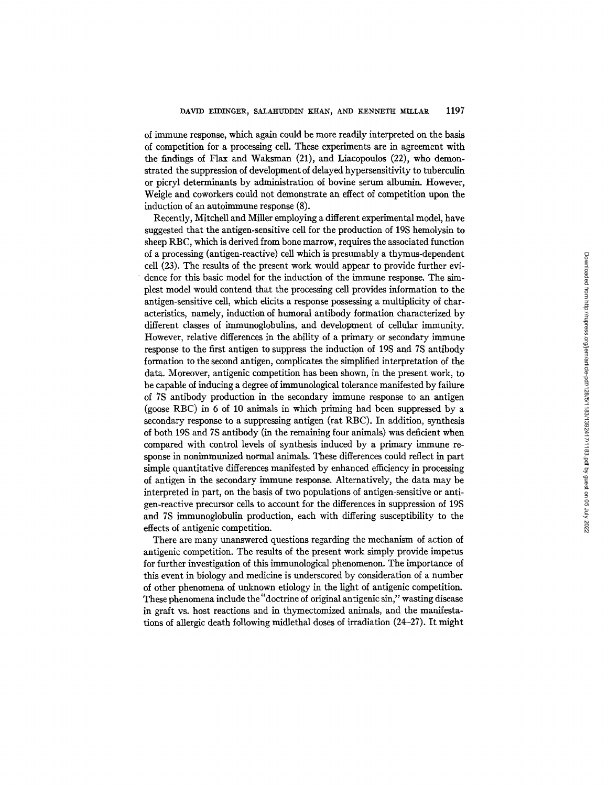of immune response, which again could be more readily interpreted on the basis of competition for a processing cell. These experiments are in agreement with the findings of Flax and Waksman (21), and Liacopoulos (22), who demonstrated the suppression of development of delayed hypersensitivity to tuberculin or picryl determinants by administration of bovine serum albumin. However, Weigie and coworkers could not demonstrate an effect of competition upon the induction of an autoimmune response  $(8)$ .

Recently, Mitchell and Miller employing a different experimental model, have suggested that the antigen-sensitive cell for the production of 19S hemolysin to sheep RBC, which is derived from bone marrow, requires the associated function of a processing (antigen-reactive) cell which is presumably a thymus-dependent cell (23). The results of the present work would appear to provide further evidence for this basic model for the induction of the immune response. The simplest model would contend that the processing cell provides information to the antigen-sensitive cell, which elicits a response possessing a multiplicity of characteristics, namely, induction of humoral antibody formation characterized by different classes of immunoglobulins, and development of cellular immunity. However, relative differences in the ability of a primary or secondary immune response to the first antigen to suppress the induction of 19S and 7S antibody formation to the second antigen, complicates the simplified interpretation of the data. Moreover, antigenic competition has been shown, in the present work, to be capable of inducing a degree of immunological tolerance manifested by failure of 7S antibody production in the secondary immune response to an antigen (goose RBC) in 6 of 10 animals in which priming had been suppressed by a secondary response to a suppressing antigen (rat RBC). In addition, synthesis of both 19S and 7S antibody (in the remaining four animals) was deficient when compared with control levels of synthesis induced by a primary immune response in nonimmunized normal animals. These differences could reflect in part simple quantitative differences manifested by enhanced efficiency in processing of antigen in the secondary immune response. Alternatively, the data may be interpreted in part, on the basis of two populations of antigen-sensitive or antigen-reactive precursor cells to account for the differences in suppression of 19S and 7S immunoglobulin production, each with differing susceptibility to the effects of antigenic competition.

There are many unanswered questions regarding the mechanism of action of antigenic competition. The results of the present work simply provide impetus for further investigation of this immunological phenomenon. The importance of this event in biology and medicine is underscored by consideration of a number of other phenomena of unknown etiology in the light of antigenic competition. These phenomena include the "doctrine of original antigenic sin," wasting disease in graft vs. host reactions and in thymectomized animals, and the manifestations of allergic death following midlethal doses of irradiation (24-27). It might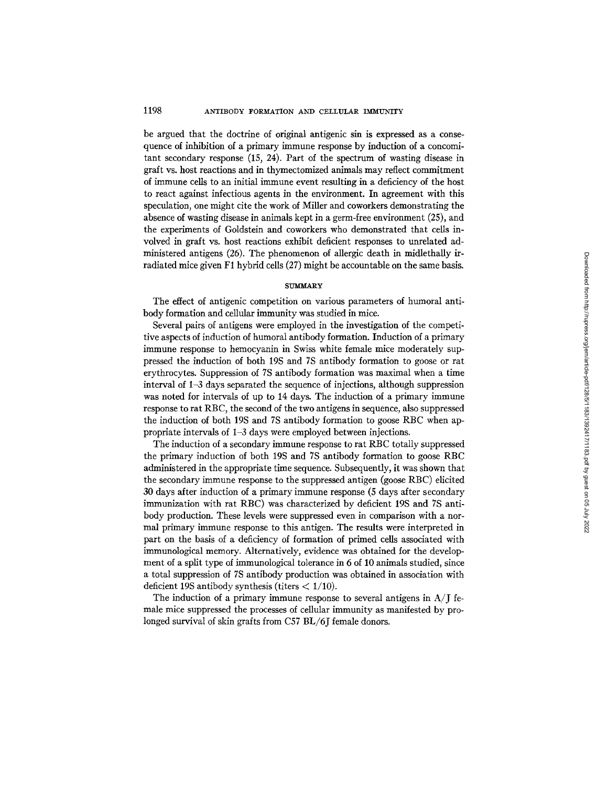### 1198 ANTIBODY FORMATION AND CELLULAR IMMUNITY

be argued that the doctrine of original antigenic sin is expressed as a consequence of inhibition of a primary immune response by induction of a concomitant secondary response (15, 24). Part of the spectrum of wasting disease in graft vs. host reactions and in thymectomized animals may reflect commitment of immune cells to an initial immune event resulting in a deficiency of the host to react against infectious agents in the environment. In agreement with this speculation, one might cite the work of Miller and coworkers demonstrating the absence of wasting disease in animals kept in a germ-free environment (25), and the experiments of Goldstein and coworkers who demonstrated that cells involved in graft vs. host reactions exhibit deficient responses to unrelated administered antigens (26). The phenomenon of allergic death in midlethally irradiated mice given F1 hybrid cells (27) might be accountable on the same basis.

### SUMMARY

The effect of antigenic competition on various parameters of humoral antibody formation and cellular immunity was studied in mice.

Several pairs of antigens were employed in the investigation of the competitive aspects of induction of humoral antibody formation. Induction of a primary immune response to hemocyanin in Swiss white female mice moderately suppressed the induction of both 19S and 7S antibody formation to goose or rat erythrocytes. Suppression of 7S antibody formation was maximal when a time interval of 1-3 days separated the sequence of injections, although suppression was noted for intervals of up to 14 days. The induction of a primary immune response to rat RBC, the second of the two antigens in sequence, also suppressed the induction of both 19S and 7S antibody formation to goose RBC when appropriate intervals of 1-3 days were employed between injections.

The induction of a secondary immune response to rat RBC totally suppressed the primary induction of both 19S and 7S antibody formation to goose RBC administered in the appropriate time sequence. Subsequently, it was shown that the secondary immune response to the suppressed antigen (goose RBC) elicited 30 days after induction of a primary immune response (5 days after secondary immunization with rat RBC) was characterized by deficient 19S and 7S antibody production. These levels were suppressed even in comparison with a normal primary immune response to this antigen. The results were interpreted in part on the basis of a deficiency of formation of primed cells associated with immunological memory. Alternatively, evidence was obtained for the development of a split type of immunological tolerance in 6 of 10 animals studied, since a total suppression of 7S antibody production was obtained in association with deficient 19S antibody synthesis (titers  $\lt 1/10$ ).

The induction of a primary immune response to several antigens in  $A/I$  female mice suppressed the processes of cellular immunity as manifested by prolonged survival of skin grafts from C57 BL/6J female donors.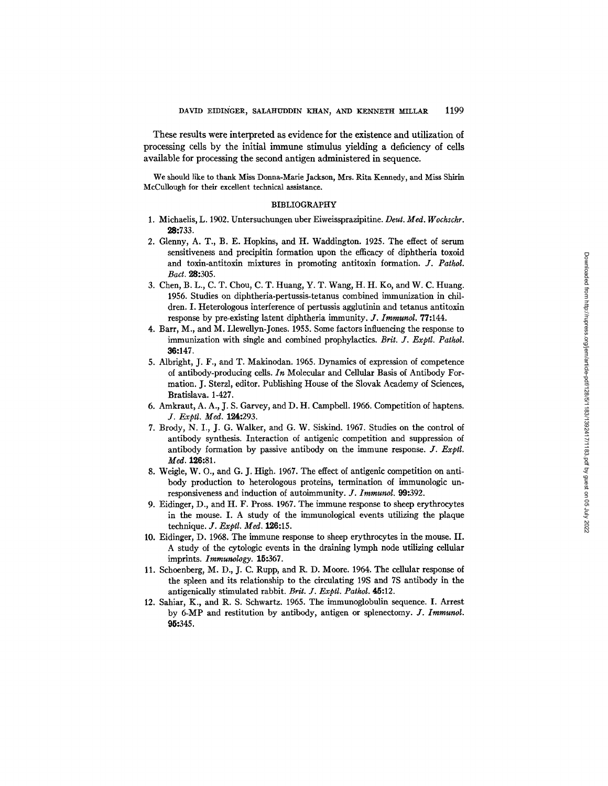These results were interpreted as evidence for the existence and utilization of processing cells by the initial immune stimulus yielding a deficiency of ceils available for processing the second antigen administered in sequence.

We should like to thank Miss Donna-Marie Jackson, Mrs. Rita Kennedy, and Miss Shirin McCullough for their excellent technical assistance.

### BIBLIOGRAPHY

- 1. Michaelis, L. 1902. Untersuchungen uber Eiweissprazipitine. *Deut. Med. Wochschr.* 28:733.
- 2. Glenny, A. T., B. E. Hopkins, and H. Waddington. 1925. The effect of serum sensitiveness and precipitin formation upon the efficacy of diphtheria toxoid and toxin-antitoxin mixtures in promoting antitoxin formation. *J. Pathol. Bact.* 28:305.
- 3. Chen, B. L., C. T. Chou, C. T. Huang, Y. T. Wang, H. H. Ko, and W. C. Huang. 1956. Studies on diphtheria-pertnssis-tetanus combined immunization in children. I. Heterologous interference of pertussis agglutinin and tetanus antitoxin response by pre-existing latent diphtheria immunity. *J. Immunol.* 77:144.
- 4. Barr, M., and M. Llewellyn-Jones. 1955. Some factors influencing the response to immunization with single and combined prophylactics. *Brit. J. Exptl. Pathol.*  36:147.
- 5. Albright, J. F., and T. Makinodan. 1965. Dynamics of expression of competence of antibody-producing cells. *In* Molecular and Cellular Basis of Antibody Formarion. J. Sterzl, editor. Publishing House of the Slovak Academy of Sciences, Brafislava. 1-427.
- 6. Amkraut, A. A., J. S. Garvey, and D. H. Campbell. 1966. Competition of haptens. *J. Exptl. Meal.* 124:293.
- 7. Brody, N. I., J. G. Walker, and G. W. Siskind. 1967. Studies on the control of antibody synthesis. Interaction of antigenic competition and suppression of antibody formation by passive antibody on the immune response. *J. Exptl. Med.* **126:81.**
- 8. Weigle, W. O., and G. J. High. 1967. The effect of antigenic competition on antibody production to heterologous proteins, termination of immunologic unresponsiveness and induction of autoimmunity. *J. Immunol.* 99:392.
- 9. Eidinger, D., and H. F. Pross. 1967. The immune response to sheep erythrocytes in the mouse. I. A study of the immunological events utilizing the plaque technique. *J. Exptl. Med.* **126:**15.
- 10. Eidinger, D. 1968. The immune response to sheep erythrocytes in the mouse. II. A study of the cytologic events in the draining lymph node utilizing cellular imprints. *Immunology.* 15:367.
- 11. Schoenberg, M. D., J. C. Rupp, and R. D. Moore. 1964. The cellular response of the spleen and its relationship to the circulating 19S and 7S antibody in the anfigenically stimulated rabbit. *Brit. J. Exptl. PathoL* 45:12.
- 12. Sahiar, *K.,* and R. S. Schwartz. 1965. The immunoglobulin sequence. I. Arrest by 6-MP and restitution by antibody, antigen or splenectomy. *J. Immunol.*  95:345.